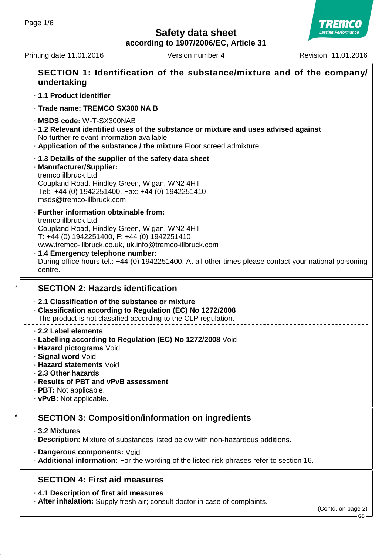**according to 1907/2006/EC, Article 31**

Printing date 11.01.2016 Version number 4 Revision: 11.01.2016



|                                                                                                                                                                                                                                       | SECTION 1: Identification of the substance/mixture and of the company/<br>undertaking                                                                                                                                                                                                                                                                                              |  |  |  |
|---------------------------------------------------------------------------------------------------------------------------------------------------------------------------------------------------------------------------------------|------------------------------------------------------------------------------------------------------------------------------------------------------------------------------------------------------------------------------------------------------------------------------------------------------------------------------------------------------------------------------------|--|--|--|
| · 1.1 Product identifier                                                                                                                                                                                                              |                                                                                                                                                                                                                                                                                                                                                                                    |  |  |  |
|                                                                                                                                                                                                                                       | · Trade name: TREMCO SX300 NA B                                                                                                                                                                                                                                                                                                                                                    |  |  |  |
| · MSDS code: W-T-SX300NAB<br>· 1.2 Relevant identified uses of the substance or mixture and uses advised against<br>No further relevant information available.<br>. Application of the substance / the mixture Floor screed admixture |                                                                                                                                                                                                                                                                                                                                                                                    |  |  |  |
|                                                                                                                                                                                                                                       | 1.3 Details of the supplier of the safety data sheet<br>· Manufacturer/Supplier:<br>tremco illbruck Ltd<br>Coupland Road, Hindley Green, Wigan, WN2 4HT<br>Tel: +44 (0) 1942251400, Fax: +44 (0) 1942251410<br>msds@tremco-illbruck.com                                                                                                                                            |  |  |  |
|                                                                                                                                                                                                                                       | · Further information obtainable from:<br>tremco illbruck Ltd<br>Coupland Road, Hindley Green, Wigan, WN2 4HT<br>T: +44 (0) 1942251400, F: +44 (0) 1942251410<br>www.tremco-illbruck.co.uk, uk.info@tremco-illbruck.com<br>· 1.4 Emergency telephone number:<br>During office hours tel.: +44 (0) 1942251400. At all other times please contact your national poisoning<br>centre. |  |  |  |
| <b>SECTION 2: Hazards identification</b>                                                                                                                                                                                              |                                                                                                                                                                                                                                                                                                                                                                                    |  |  |  |
|                                                                                                                                                                                                                                       |                                                                                                                                                                                                                                                                                                                                                                                    |  |  |  |
|                                                                                                                                                                                                                                       | 2.1 Classification of the substance or mixture<br>Classification according to Regulation (EC) No 1272/2008<br>The product is not classified according to the CLP regulation.                                                                                                                                                                                                       |  |  |  |
|                                                                                                                                                                                                                                       | 2.2 Label elements<br>· Labelling according to Regulation (EC) No 1272/2008 Void<br>· Hazard pictograms Void<br>· Signal word Void<br>⋅ Hazard statements Void<br>2.3 Other hazards<br>· Results of PBT and vPvB assessment<br>· PBT: Not applicable.<br>$\cdot$ vPvB: Not applicable.                                                                                             |  |  |  |
|                                                                                                                                                                                                                                       | <b>SECTION 3: Composition/information on ingredients</b>                                                                                                                                                                                                                                                                                                                           |  |  |  |
|                                                                                                                                                                                                                                       | ⋅ 3.2 Mixtures<br>· Description: Mixture of substances listed below with non-hazardous additions.                                                                                                                                                                                                                                                                                  |  |  |  |
|                                                                                                                                                                                                                                       | · Dangerous components: Void<br>. Additional information: For the wording of the listed risk phrases refer to section 16.                                                                                                                                                                                                                                                          |  |  |  |
|                                                                                                                                                                                                                                       | <b>SECTION 4: First aid measures</b>                                                                                                                                                                                                                                                                                                                                               |  |  |  |

· **After inhalation:** Supply fresh air; consult doctor in case of complaints.

(Contd. on page 2)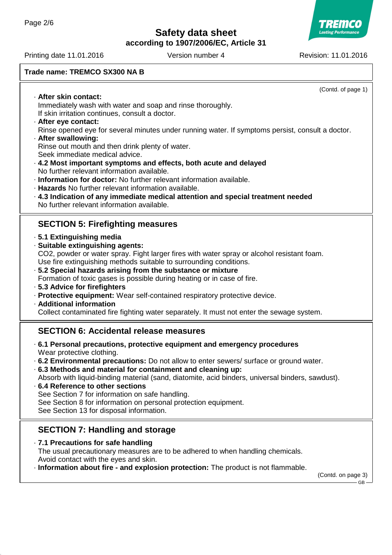**Lasting Performanc** 

**according to 1907/2006/EC, Article 31**

Printing date 11.01.2016 **Version number 4** Revision: 11.01.2016

#### **Trade name: TREMCO SX300 NA B**

(Contd. of page 1) · **After skin contact:** Immediately wash with water and soap and rinse thoroughly. If skin irritation continues, consult a doctor. · **After eye contact:** Rinse opened eye for several minutes under running water. If symptoms persist, consult a doctor. · **After swallowing:** Rinse out mouth and then drink plenty of water. Seek immediate medical advice. · **4.2 Most important symptoms and effects, both acute and delayed** No further relevant information available. · **Information for doctor:** No further relevant information available. · **Hazards** No further relevant information available. · **4.3 Indication of any immediate medical attention and special treatment needed** No further relevant information available. **SECTION 5: Firefighting measures** · **5.1 Extinguishing media** · **Suitable extinguishing agents:** CO2, powder or water spray. Fight larger fires with water spray or alcohol resistant foam. Use fire extinguishing methods suitable to surrounding conditions. · **5.2 Special hazards arising from the substance or mixture** Formation of toxic gases is possible during heating or in case of fire. · **5.3 Advice for firefighters** · **Protective equipment:** Wear self-contained respiratory protective device. · **Additional information** Collect contaminated fire fighting water separately. It must not enter the sewage system. **SECTION 6: Accidental release measures** · **6.1 Personal precautions, protective equipment and emergency procedures** Wear protective clothing. · **6.2 Environmental precautions:** Do not allow to enter sewers/ surface or ground water. · **6.3 Methods and material for containment and cleaning up:** Absorb with liquid-binding material (sand, diatomite, acid binders, universal binders, sawdust). · **6.4 Reference to other sections** See Section 7 for information on safe handling. See Section 8 for information on personal protection equipment. See Section 13 for disposal information. **SECTION 7: Handling and storage** · **7.1 Precautions for safe handling** The usual precautionary measures are to be adhered to when handling chemicals. Avoid contact with the eyes and skin. · **Information about fire - and explosion protection:** The product is not flammable.

(Contd. on page 3) GB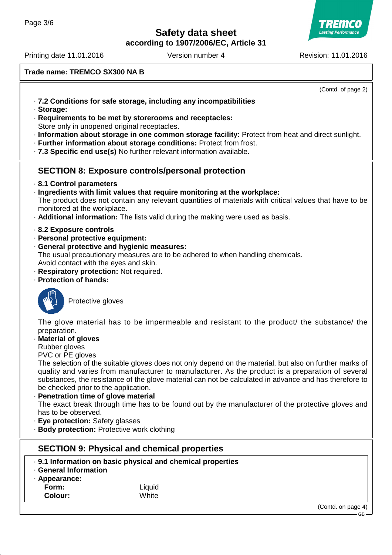**according to 1907/2006/EC, Article 31**



Printing date 11.01.2016 **Version number 4** Revision: 11.01.2016

**Trade name: TREMCO SX300 NA B**

(Contd. of page 2)

- · **7.2 Conditions for safe storage, including any incompatibilities**
- · **Storage:**
- · **Requirements to be met by storerooms and receptacles:** Store only in unopened original receptacles.
- · **Information about storage in one common storage facility:** Protect from heat and direct sunlight.
- · **Further information about storage conditions:** Protect from frost.
- · **7.3 Specific end use(s)** No further relevant information available.

## **SECTION 8: Exposure controls/personal protection**

- · **8.1 Control parameters**
- · **Ingredients with limit values that require monitoring at the workplace:** The product does not contain any relevant quantities of materials with critical values that have to be monitored at the workplace.
- · **Additional information:** The lists valid during the making were used as basis.
- · **8.2 Exposure controls**
- · **Personal protective equipment:**
- · **General protective and hygienic measures:**

The usual precautionary measures are to be adhered to when handling chemicals. Avoid contact with the eyes and skin.

- · **Respiratory protection:** Not required.
- · **Protection of hands:**



Protective gloves

The glove material has to be impermeable and resistant to the product/ the substance/ the preparation.

· **Material of gloves**

Rubber gloves

PVC or PE gloves

The selection of the suitable gloves does not only depend on the material, but also on further marks of quality and varies from manufacturer to manufacturer. As the product is a preparation of several substances, the resistance of the glove material can not be calculated in advance and has therefore to be checked prior to the application.

· **Penetration time of glove material** The exact break through time has to be found out by the manufacturer of the protective gloves and has to be observed.

- · **Eye protection:** Safety glasses
- · **Body protection:** Protective work clothing

## **SECTION 9: Physical and chemical properties**

- · **9.1 Information on basic physical and chemical properties**
- · **General Information**
- · **Appearance:**

**Form:** Liquid **Colour:** White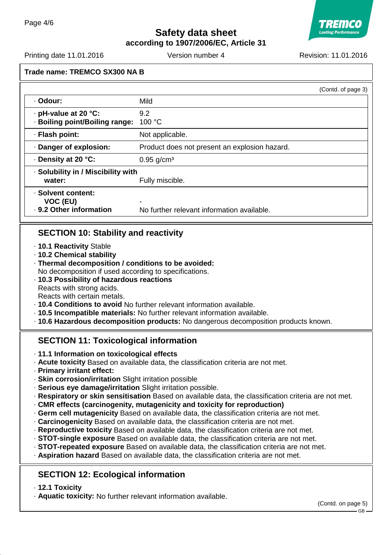**Safety data sheet according to 1907/2006/EC, Article 31**



Printing date 11.01.2016 **Version number 4** Revision: 11.01.2016

|                                                           |                                                 | (Contd. of page 3) |
|-----------------------------------------------------------|-------------------------------------------------|--------------------|
| · Odour:                                                  | Mild                                            |                    |
| · pH-value at 20 °C:<br>· Boiling point/Boiling range:    | 9.2<br>100 °C                                   |                    |
| · Flash point:                                            | Not applicable.                                 |                    |
| Danger of explosion:                                      | Product does not present an explosion hazard.   |                    |
| ⋅ Density at 20 °C:                                       | $0.95$ g/cm <sup>3</sup>                        |                    |
| · Solubility in / Miscibility with<br>water:              | Fully miscible.                                 |                    |
| · Solvent content:<br>VOC (EU)<br>· 9.2 Other information | ۰<br>No further relevant information available. |                    |

## **SECTION 10: Stability and reactivity**

- · **10.1 Reactivity** Stable
- · **10.2 Chemical stability**
- · **Thermal decomposition / conditions to be avoided:** No decomposition if used according to specifications.
- · **10.3 Possibility of hazardous reactions** Reacts with strong acids. Reacts with certain metals.
- · **10.4 Conditions to avoid** No further relevant information available.
- · **10.5 Incompatible materials:** No further relevant information available.
- · **10.6 Hazardous decomposition products:** No dangerous decomposition products known.

# **SECTION 11: Toxicological information**

- · **11.1 Information on toxicological effects**
- · **Acute toxicity** Based on available data, the classification criteria are not met.
- · **Primary irritant effect:**
- · **Skin corrosion/irritation** Slight irritation possible
- · **Serious eye damage/irritation** Slight irritation possible.
- · **Respiratory or skin sensitisation** Based on available data, the classification criteria are not met.
- · **CMR effects (carcinogenity, mutagenicity and toxicity for reproduction)**
- · **Germ cell mutagenicity** Based on available data, the classification criteria are not met.
- · **Carcinogenicity** Based on available data, the classification criteria are not met.
- · **Reproductive toxicity** Based on available data, the classification criteria are not met.
- · **STOT-single exposure** Based on available data, the classification criteria are not met.
- · **STOT-repeated exposure** Based on available data, the classification criteria are not met.
- · **Aspiration hazard** Based on available data, the classification criteria are not met.

# **SECTION 12: Ecological information**

- · **12.1 Toxicity**
- · **Aquatic toxicity:** No further relevant information available.

(Contd. on page 5)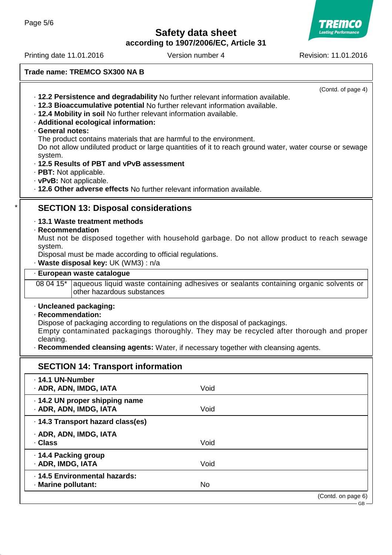TREMCO **Lasting Performance** 

**according to 1907/2006/EC, Article 31**

Printing date 11.01.2016 Version number 4 Revision: 11.01.2016

**Trade name: TREMCO SX300 NA B**

|                                                                                                   |                                                                                                        | (Contd. of page 4)                                                                             |  |  |  |
|---------------------------------------------------------------------------------------------------|--------------------------------------------------------------------------------------------------------|------------------------------------------------------------------------------------------------|--|--|--|
|                                                                                                   | . 12.2 Persistence and degradability No further relevant information available.                        |                                                                                                |  |  |  |
|                                                                                                   | · 12.3 Bioaccumulative potential No further relevant information available.                            |                                                                                                |  |  |  |
|                                                                                                   | · 12.4 Mobility in soil No further relevant information available.                                     |                                                                                                |  |  |  |
|                                                                                                   | · Additional ecological information:                                                                   |                                                                                                |  |  |  |
|                                                                                                   | · General notes:                                                                                       |                                                                                                |  |  |  |
|                                                                                                   | The product contains materials that are harmful to the environment.                                    |                                                                                                |  |  |  |
|                                                                                                   | Do not allow undiluted product or large quantities of it to reach ground water, water course or sewage |                                                                                                |  |  |  |
|                                                                                                   | system.                                                                                                |                                                                                                |  |  |  |
|                                                                                                   | · 12.5 Results of PBT and vPvB assessment                                                              |                                                                                                |  |  |  |
|                                                                                                   | · PBT: Not applicable.                                                                                 |                                                                                                |  |  |  |
|                                                                                                   | · vPvB: Not applicable.                                                                                |                                                                                                |  |  |  |
|                                                                                                   | . 12.6 Other adverse effects No further relevant information available.                                |                                                                                                |  |  |  |
|                                                                                                   | <b>SECTION 13: Disposal considerations</b>                                                             |                                                                                                |  |  |  |
| · 13.1 Waste treatment methods                                                                    |                                                                                                        |                                                                                                |  |  |  |
|                                                                                                   | · Recommendation                                                                                       |                                                                                                |  |  |  |
|                                                                                                   | Must not be disposed together with household garbage. Do not allow product to reach sewage             |                                                                                                |  |  |  |
| system.                                                                                           |                                                                                                        |                                                                                                |  |  |  |
|                                                                                                   | Disposal must be made according to official regulations.                                               |                                                                                                |  |  |  |
|                                                                                                   | · Waste disposal key: UK (WM3): n/a                                                                    |                                                                                                |  |  |  |
|                                                                                                   | · European waste catalogue                                                                             |                                                                                                |  |  |  |
|                                                                                                   |                                                                                                        | 08 04 15* aqueous liquid waste containing adhesives or sealants containing organic solvents or |  |  |  |
|                                                                                                   | other hazardous substances                                                                             |                                                                                                |  |  |  |
|                                                                                                   | · Uncleaned packaging:                                                                                 |                                                                                                |  |  |  |
|                                                                                                   |                                                                                                        |                                                                                                |  |  |  |
| · Recommendation:<br>Dispose of packaging according to regulations on the disposal of packagings. |                                                                                                        |                                                                                                |  |  |  |
|                                                                                                   | Empty contaminated packagings thoroughly. They may be recycled after thorough and proper               |                                                                                                |  |  |  |
|                                                                                                   | cleaning.                                                                                              |                                                                                                |  |  |  |
| · Recommended cleansing agents: Water, if necessary together with cleansing agents.               |                                                                                                        |                                                                                                |  |  |  |
| <b>SECTION 14: Transport information</b>                                                          |                                                                                                        |                                                                                                |  |  |  |
|                                                                                                   | · 14.1 UN-Number                                                                                       |                                                                                                |  |  |  |
|                                                                                                   | · ADR, ADN, IMDG, IATA                                                                                 | Void                                                                                           |  |  |  |
|                                                                                                   |                                                                                                        |                                                                                                |  |  |  |
|                                                                                                   | · 14.2 UN proper shipping name                                                                         |                                                                                                |  |  |  |
|                                                                                                   | · ADR, ADN, IMDG, IATA                                                                                 | Void                                                                                           |  |  |  |
|                                                                                                   | · 14.3 Transport hazard class(es)                                                                      |                                                                                                |  |  |  |
|                                                                                                   | · ADR, ADN, IMDG, IATA                                                                                 |                                                                                                |  |  |  |
|                                                                                                   | · Class                                                                                                | Void                                                                                           |  |  |  |
|                                                                                                   | · 14.4 Packing group                                                                                   |                                                                                                |  |  |  |
|                                                                                                   | · ADR, IMDG, IATA                                                                                      | Void                                                                                           |  |  |  |
|                                                                                                   |                                                                                                        |                                                                                                |  |  |  |
|                                                                                                   | · 14.5 Environmental hazards:                                                                          |                                                                                                |  |  |  |
|                                                                                                   | · Marine pollutant:                                                                                    | <b>No</b>                                                                                      |  |  |  |
|                                                                                                   |                                                                                                        | (Contd. on page 6)                                                                             |  |  |  |
|                                                                                                   |                                                                                                        | GВ                                                                                             |  |  |  |